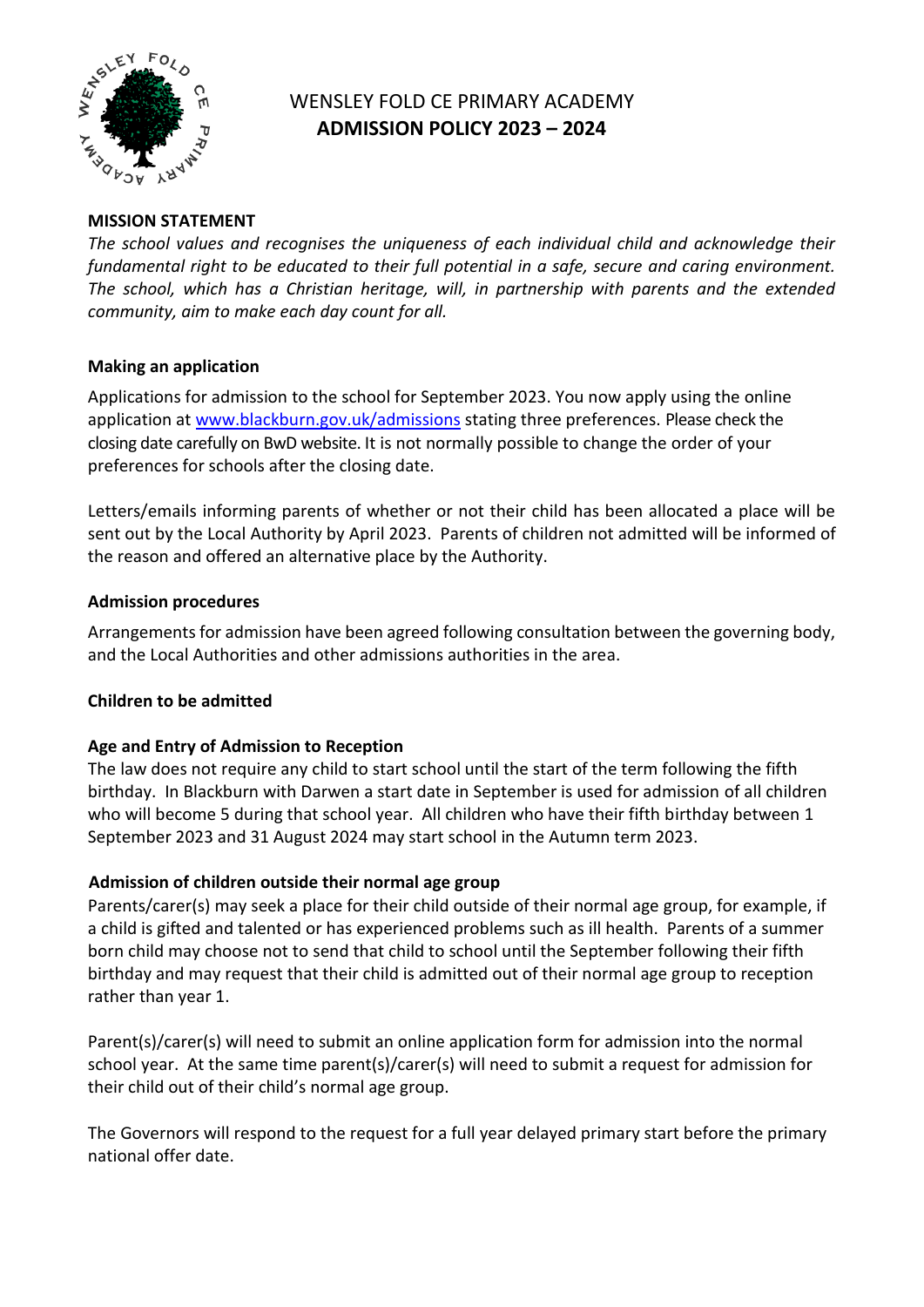

# WENSLEY FOLD CE PRIMARY ACADEMY **ADMISSION POLICY 2023 – 2024**

# **MISSION STATEMENT**

*The school values and recognises the uniqueness of each individual child and acknowledge their fundamental right to be educated to their full potential in a safe, secure and caring environment. The school, which has a Christian heritage, will, in partnership with parents and the extended community, aim to make each day count for all.*

## **Making an application**

Applications for admission to the school for September 2023. You now apply using the online application at [www.blackburn.gov.uk/admissions](http://www.blackburn.gov.uk/admissions) stating three preferences. Please check the closing date carefully on BwD website. It is not normally possible to change the order of your preferences for schools after the closing date.

Letters/emails informing parents of whether or not their child has been allocated a place will be sent out by the Local Authority by April 2023. Parents of children not admitted will be informed of the reason and offered an alternative place by the Authority.

#### **Admission procedures**

Arrangements for admission have been agreed following consultation between the governing body, and the Local Authorities and other admissions authorities in the area.

## **Children to be admitted**

## **Age and Entry of Admission to Reception**

The law does not require any child to start school until the start of the term following the fifth birthday. In Blackburn with Darwen a start date in September is used for admission of all children who will become 5 during that school year. All children who have their fifth birthday between 1 September 2023 and 31 August 2024 may start school in the Autumn term 2023.

## **Admission of children outside their normal age group**

Parents/carer(s) may seek a place for their child outside of their normal age group, for example, if a child is gifted and talented or has experienced problems such as ill health. Parents of a summer born child may choose not to send that child to school until the September following their fifth birthday and may request that their child is admitted out of their normal age group to reception rather than year 1.

Parent(s)/carer(s) will need to submit an online application form for admission into the normal school year. At the same time parent(s)/carer(s) will need to submit a request for admission for their child out of their child's normal age group.

The Governors will respond to the request for a full year delayed primary start before the primary national offer date.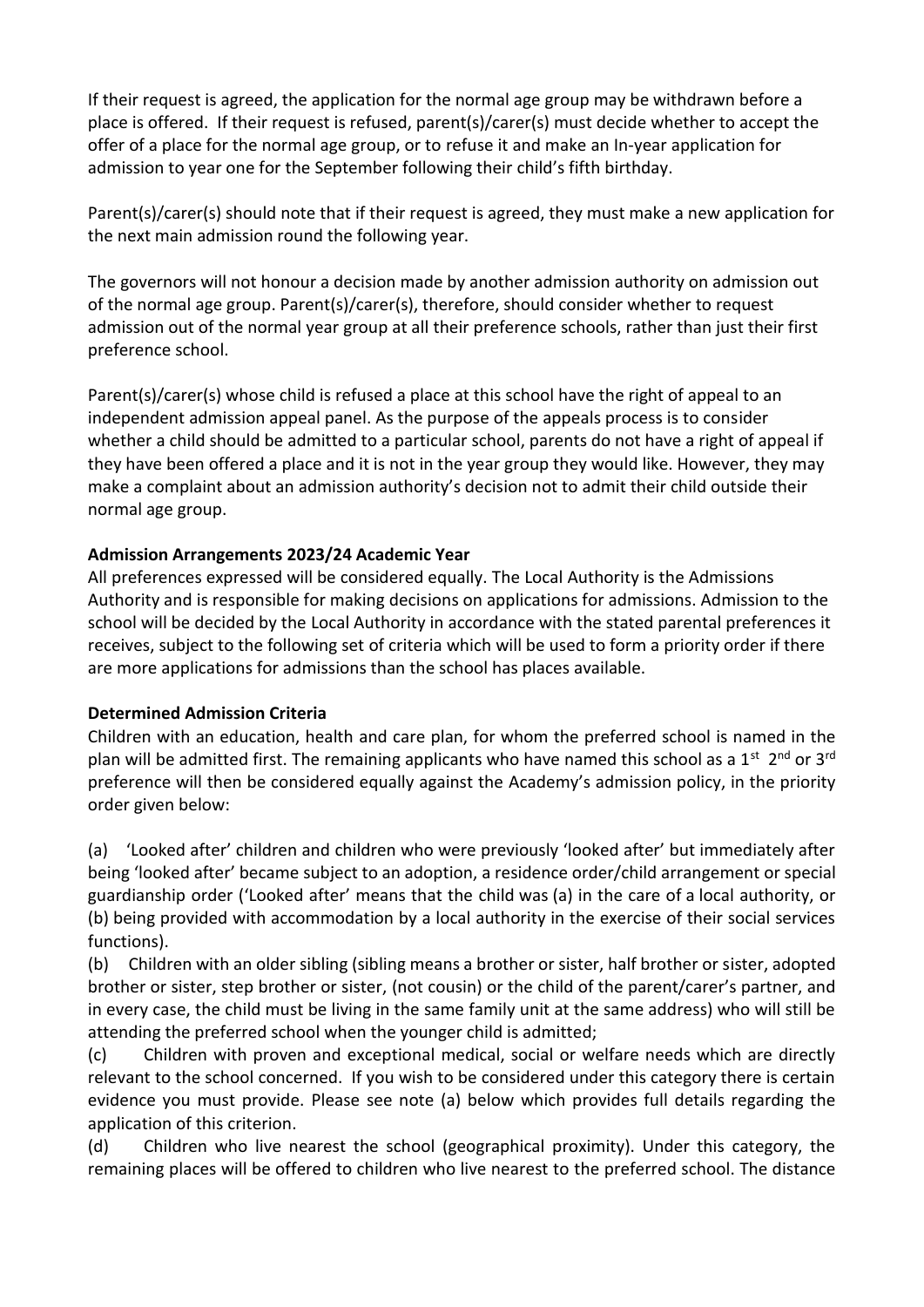If their request is agreed, the application for the normal age group may be withdrawn before a place is offered. If their request is refused, parent(s)/carer(s) must decide whether to accept the offer of a place for the normal age group, or to refuse it and make an In-year application for admission to year one for the September following their child's fifth birthday.

Parent(s)/carer(s) should note that if their request is agreed, they must make a new application for the next main admission round the following year.

The governors will not honour a decision made by another admission authority on admission out of the normal age group. Parent(s)/carer(s), therefore, should consider whether to request admission out of the normal year group at all their preference schools, rather than just their first preference school.

Parent(s)/carer(s) whose child is refused a place at this school have the right of appeal to an independent admission appeal panel. As the purpose of the appeals process is to consider whether a child should be admitted to a particular school, parents do not have a right of appeal if they have been offered a place and it is not in the year group they would like. However, they may make a complaint about an admission authority's decision not to admit their child outside their normal age group.

## **Admission Arrangements 2023/24 Academic Year**

All preferences expressed will be considered equally. The Local Authority is the Admissions Authority and is responsible for making decisions on applications for admissions. Admission to the school will be decided by the Local Authority in accordance with the stated parental preferences it receives, subject to the following set of criteria which will be used to form a priority order if there are more applications for admissions than the school has places available.

## **Determined Admission Criteria**

Children with an education, health and care plan, for whom the preferred school is named in the plan will be admitted first. The remaining applicants who have named this school as a  $1^{st}$  2<sup>nd</sup> or 3<sup>rd</sup> preference will then be considered equally against the Academy's admission policy, in the priority order given below:

(a) 'Looked after' children and children who were previously 'looked after' but immediately after being 'looked after' became subject to an adoption, a residence order/child arrangement or special guardianship order ('Looked after' means that the child was (a) in the care of a local authority, or (b) being provided with accommodation by a local authority in the exercise of their social services functions).

(b) Children with an older sibling (sibling means a brother or sister, half brother or sister, adopted brother or sister, step brother or sister, (not cousin) or the child of the parent/carer's partner, and in every case, the child must be living in the same family unit at the same address) who will still be attending the preferred school when the younger child is admitted;

(c) Children with proven and exceptional medical, social or welfare needs which are directly relevant to the school concerned. If you wish to be considered under this category there is certain evidence you must provide. Please see note (a) below which provides full details regarding the application of this criterion.

(d) Children who live nearest the school (geographical proximity). Under this category, the remaining places will be offered to children who live nearest to the preferred school. The distance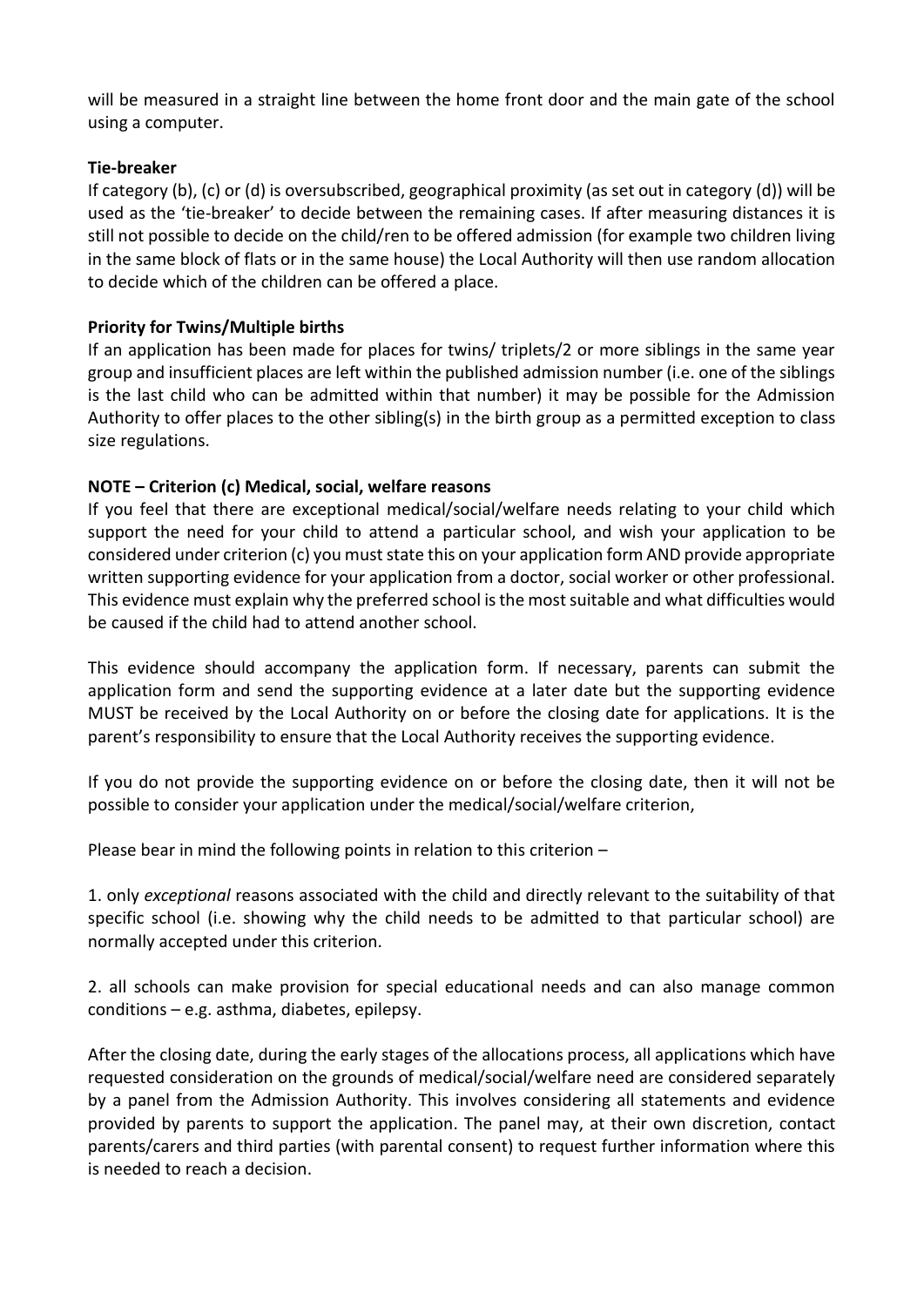will be measured in a straight line between the home front door and the main gate of the school using a computer.

#### **Tie-breaker**

If category (b), (c) or (d) is oversubscribed, geographical proximity (as set out in category (d)) will be used as the 'tie-breaker' to decide between the remaining cases. If after measuring distances it is still not possible to decide on the child/ren to be offered admission (for example two children living in the same block of flats or in the same house) the Local Authority will then use random allocation to decide which of the children can be offered a place.

#### **Priority for Twins/Multiple births**

If an application has been made for places for twins/ triplets/2 or more siblings in the same year group and insufficient places are left within the published admission number (i.e. one of the siblings is the last child who can be admitted within that number) it may be possible for the Admission Authority to offer places to the other sibling(s) in the birth group as a permitted exception to class size regulations.

## **NOTE – Criterion (c) Medical, social, welfare reasons**

If you feel that there are exceptional medical/social/welfare needs relating to your child which support the need for your child to attend a particular school, and wish your application to be considered under criterion (c) you must state this on your application form AND provide appropriate written supporting evidence for your application from a doctor, social worker or other professional. This evidence must explain why the preferred school is the most suitable and what difficulties would be caused if the child had to attend another school.

This evidence should accompany the application form. If necessary, parents can submit the application form and send the supporting evidence at a later date but the supporting evidence MUST be received by the Local Authority on or before the closing date for applications. It is the parent's responsibility to ensure that the Local Authority receives the supporting evidence.

If you do not provide the supporting evidence on or before the closing date, then it will not be possible to consider your application under the medical/social/welfare criterion,

Please bear in mind the following points in relation to this criterion –

1. only *exceptional* reasons associated with the child and directly relevant to the suitability of that specific school (i.e. showing why the child needs to be admitted to that particular school) are normally accepted under this criterion.

2. all schools can make provision for special educational needs and can also manage common conditions – e.g. asthma, diabetes, epilepsy.

After the closing date, during the early stages of the allocations process, all applications which have requested consideration on the grounds of medical/social/welfare need are considered separately by a panel from the Admission Authority. This involves considering all statements and evidence provided by parents to support the application. The panel may, at their own discretion, contact parents/carers and third parties (with parental consent) to request further information where this is needed to reach a decision.